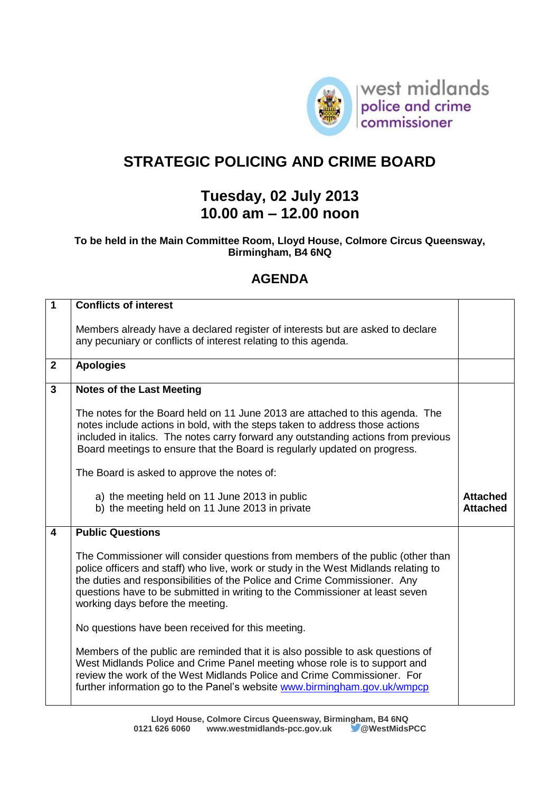

## **STRATEGIC POLICING AND CRIME BOARD**

## **Tuesday, 02 July 2013 10.00 am – 12.00 noon**

## **To be held in the Main Committee Room, Lloyd House, Colmore Circus Queensway, Birmingham, B4 6NQ**

## **AGENDA**

| $\overline{1}$ | <b>Conflicts of interest</b>                                                                                                                                                                                                                                                                                                                                            |                                    |
|----------------|-------------------------------------------------------------------------------------------------------------------------------------------------------------------------------------------------------------------------------------------------------------------------------------------------------------------------------------------------------------------------|------------------------------------|
|                | Members already have a declared register of interests but are asked to declare<br>any pecuniary or conflicts of interest relating to this agenda.                                                                                                                                                                                                                       |                                    |
| $\mathbf{2}$   | <b>Apologies</b>                                                                                                                                                                                                                                                                                                                                                        |                                    |
| $\overline{3}$ | <b>Notes of the Last Meeting</b>                                                                                                                                                                                                                                                                                                                                        |                                    |
|                | The notes for the Board held on 11 June 2013 are attached to this agenda. The<br>notes include actions in bold, with the steps taken to address those actions<br>included in italics. The notes carry forward any outstanding actions from previous<br>Board meetings to ensure that the Board is regularly updated on progress.                                        |                                    |
|                | The Board is asked to approve the notes of:                                                                                                                                                                                                                                                                                                                             |                                    |
|                | a) the meeting held on 11 June 2013 in public<br>b) the meeting held on 11 June 2013 in private                                                                                                                                                                                                                                                                         | <b>Attached</b><br><b>Attached</b> |
| 4              | <b>Public Questions</b>                                                                                                                                                                                                                                                                                                                                                 |                                    |
|                | The Commissioner will consider questions from members of the public (other than<br>police officers and staff) who live, work or study in the West Midlands relating to<br>the duties and responsibilities of the Police and Crime Commissioner. Any<br>questions have to be submitted in writing to the Commissioner at least seven<br>working days before the meeting. |                                    |
|                | No questions have been received for this meeting.                                                                                                                                                                                                                                                                                                                       |                                    |
|                | Members of the public are reminded that it is also possible to ask questions of<br>West Midlands Police and Crime Panel meeting whose role is to support and<br>review the work of the West Midlands Police and Crime Commissioner. For<br>further information go to the Panel's website www.birmingham.gov.uk/wmpcp                                                    |                                    |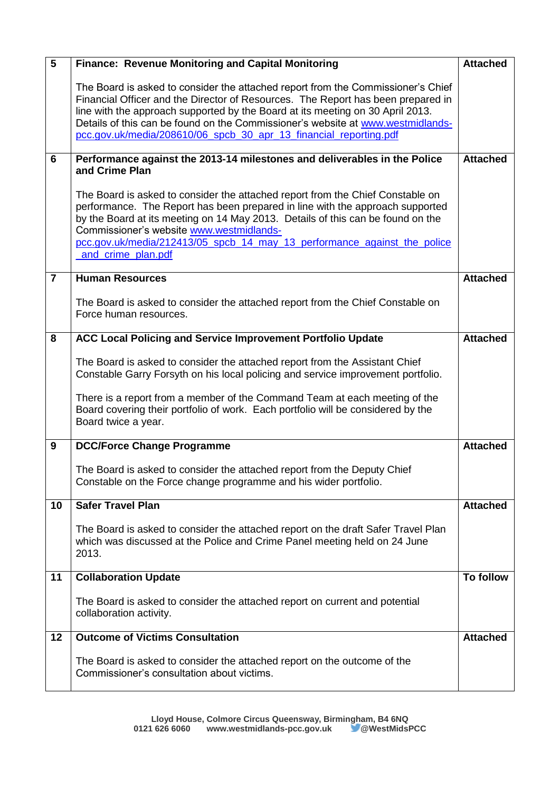| $5\phantom{1}$ | <b>Finance: Revenue Monitoring and Capital Monitoring</b>                                                                                                                                                                                                                                                                                                                                                      | <b>Attached</b>  |
|----------------|----------------------------------------------------------------------------------------------------------------------------------------------------------------------------------------------------------------------------------------------------------------------------------------------------------------------------------------------------------------------------------------------------------------|------------------|
|                | The Board is asked to consider the attached report from the Commissioner's Chief<br>Financial Officer and the Director of Resources. The Report has been prepared in<br>line with the approach supported by the Board at its meeting on 30 April 2013.<br>Details of this can be found on the Commissioner's website at www.westmidlands-<br>pcc.gov.uk/media/208610/06_spcb_30_apr_13_financial_reporting.pdf |                  |
| 6              | Performance against the 2013-14 milestones and deliverables in the Police<br>and Crime Plan                                                                                                                                                                                                                                                                                                                    | <b>Attached</b>  |
|                | The Board is asked to consider the attached report from the Chief Constable on<br>performance. The Report has been prepared in line with the approach supported<br>by the Board at its meeting on 14 May 2013. Details of this can be found on the<br>Commissioner's website www.westmidlands-<br>pcc.gov.uk/media/212413/05 spcb 14 may 13 performance against the police<br>and crime plan.pdf               |                  |
| $\overline{7}$ | <b>Human Resources</b>                                                                                                                                                                                                                                                                                                                                                                                         | <b>Attached</b>  |
|                | The Board is asked to consider the attached report from the Chief Constable on<br>Force human resources.                                                                                                                                                                                                                                                                                                       |                  |
| 8              | <b>ACC Local Policing and Service Improvement Portfolio Update</b>                                                                                                                                                                                                                                                                                                                                             | <b>Attached</b>  |
|                | The Board is asked to consider the attached report from the Assistant Chief<br>Constable Garry Forsyth on his local policing and service improvement portfolio.<br>There is a report from a member of the Command Team at each meeting of the<br>Board covering their portfolio of work. Each portfolio will be considered by the<br>Board twice a year.                                                       |                  |
| 9              | <b>DCC/Force Change Programme</b>                                                                                                                                                                                                                                                                                                                                                                              | <b>Attached</b>  |
|                | The Board is asked to consider the attached report from the Deputy Chief<br>Constable on the Force change programme and his wider portfolio.                                                                                                                                                                                                                                                                   |                  |
| 10             | <b>Safer Travel Plan</b>                                                                                                                                                                                                                                                                                                                                                                                       | <b>Attached</b>  |
|                | The Board is asked to consider the attached report on the draft Safer Travel Plan<br>which was discussed at the Police and Crime Panel meeting held on 24 June<br>2013.                                                                                                                                                                                                                                        |                  |
| 11             | <b>Collaboration Update</b>                                                                                                                                                                                                                                                                                                                                                                                    | <b>To follow</b> |
|                | The Board is asked to consider the attached report on current and potential<br>collaboration activity.                                                                                                                                                                                                                                                                                                         |                  |
| 12             | <b>Outcome of Victims Consultation</b>                                                                                                                                                                                                                                                                                                                                                                         | <b>Attached</b>  |
|                | The Board is asked to consider the attached report on the outcome of the<br>Commissioner's consultation about victims.                                                                                                                                                                                                                                                                                         |                  |